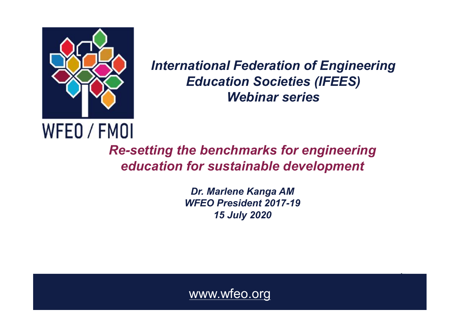

*International Federation of Engineering Education Societies (IFEES) Webinar series*

*Re-setting the benchmarks for engineering education for sustainable development*

> *Dr. Marlene Kanga AM WFEO President 2017-19 15 July 2020*

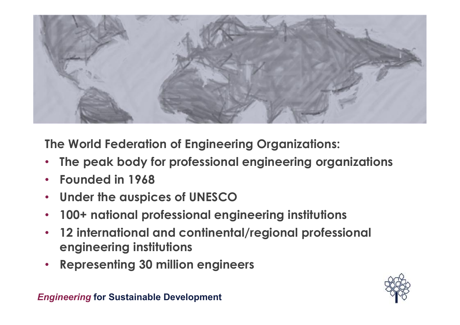

**The World Federation of Engineering Organizations:**

- **The peak body for professional engineering organizations**
- **Founded in 1968**
- **Under the auspices of UNESCO**
- **100+ national professional engineering institutions**
- **12 international and continental/regional professional engineering institutions**
- **Representing 30 million engineers**

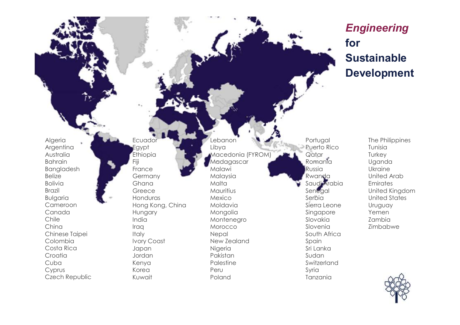

## *Engineering*  **for Sustainable Development**

The Philippines Tunisia **Turkey** Uganda Ukraine United Arab Emirates United Kingdom United States Uruguay Yemen Zambia Zimbabwe

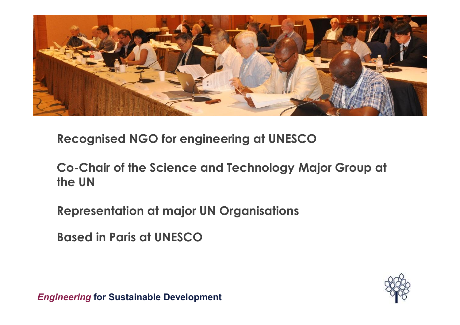

**Recognised NGO for engineering at UNESCO**

**Co-Chair of the Science and Technology Major Group at the UN**

**Representation at major UN Organisations** 

**Based in Paris at UNESCO**

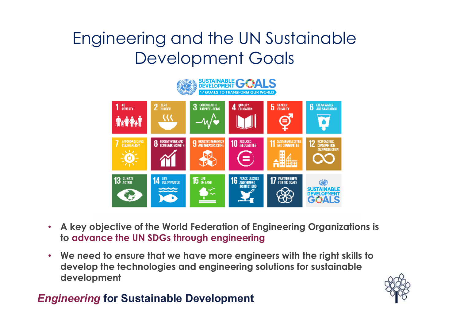## Engineering and the UN Sustainable Development Goals



- **A key objective of the World Federation of Engineering Organizations is to advance the UN SDGs through engineering**
- **We need to ensure that we have more engineers with the right skills to develop the technologies and engineering solutions for sustainable development**

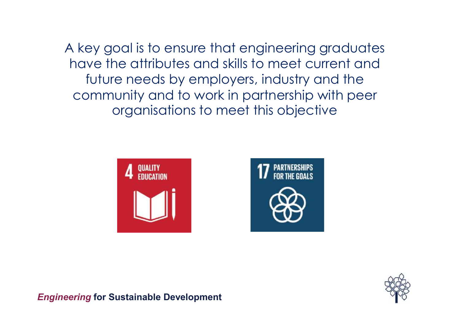A key goal is to ensure that engineering graduates have the attributes and skills to meet current and future needs by employers, industry and the community and to work in partnership with peer organisations to meet this objective





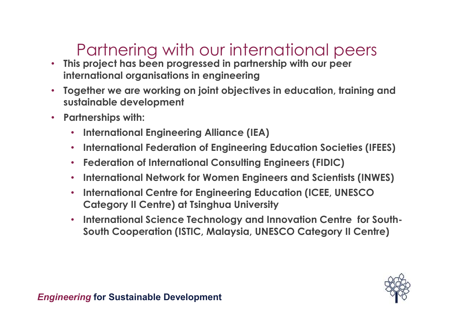# Partnering with our international peers

- **This project has been progressed in partnership with our peer international organisations in engineering**
- **Together we are working on joint objectives in education, training and sustainable development**
- **Partnerships with:**
	- **International Engineering Alliance (IEA)**
	- **International Federation of Engineering Education Societies (IFEES)**
	- **Federation of International Consulting Engineers (FIDIC)**
	- **International Network for Women Engineers and Scientists (INWES)**
	- **International Centre for Engineering Education (ICEE, UNESCO Category II Centre) at Tsinghua University**
	- **International Science Technology and Innovation Centre for South-South Cooperation (ISTIC, Malaysia, UNESCO Category II Centre)**

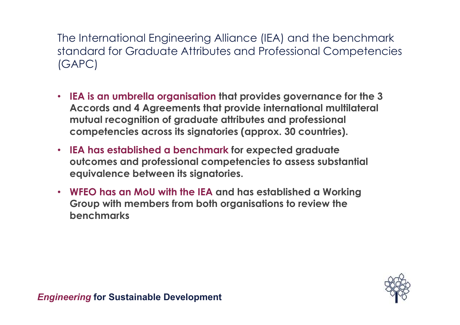The International Engineering Alliance (IEA) and the benchmark standard for Graduate Attributes and Professional Competencies (GAPC)

- **IEA is an umbrella organisation that provides governance for the 3 Accords and 4 Agreements that provide international multilateral mutual recognition of graduate attributes and professional competencies across its signatories (approx. 30 countries).**
- **IEA has established a benchmark for expected graduate outcomes and professional competencies to assess substantial equivalence between its signatories.**
- **WFEO has an MoU with the IEA and has established a Working Group with members from both organisations to review the benchmarks**

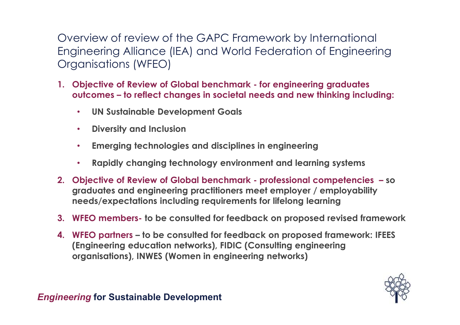Overview of review of the GAPC Framework by International Engineering Alliance (IEA) and World Federation of Engineering Organisations (WFEO)

- **1. Objective of Review of Global benchmark for engineering graduates outcomes – to reflect changes in societal needs and new thinking including:**
	- **UN Sustainable Development Goals**
	- **Diversity and Inclusion**
	- **Emerging technologies and disciplines in engineering**
	- **Rapidly changing technology environment and learning systems**
- **2. Objective of Review of Global benchmark professional competencies – so graduates and engineering practitioners meet employer / employability needs/expectations including requirements for lifelong learning**
- **3. WFEO members- to be consulted for feedback on proposed revised framework**
- **4. WFEO partners to be consulted for feedback on proposed framework: IFEES (Engineering education networks), FIDIC (Consulting engineering organisations), INWES (Women in engineering networks)**

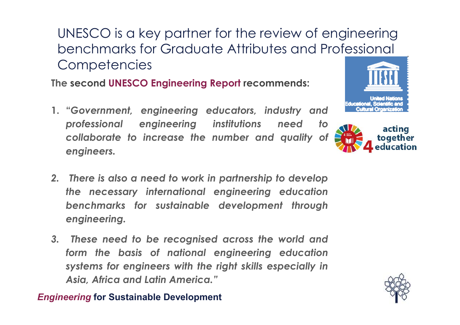UNESCO is a key partner for the review of engineering benchmarks for Graduate Attributes and Professional **Competencies** 

**The second UNESCO Engineering Report recommends:**

**1. "***Government, engineering educators, industry and professional engineering institutions need to collaborate to increase the number and quality of engineers.*





- *2. There is also a need to work in partnership to develop the necessary international engineering education benchmarks for sustainable development through engineering.*
- *3. These need to be recognised across the world and form the basis of national engineering education systems for engineers with the right skills especially in Asia, Africa and Latin America."*

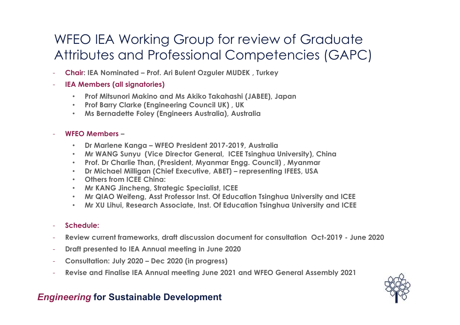## WFEO IEA Working Group for review of Graduate Attributes and Professional Competencies (GAPC)

- **Chair: IEA Nominated Prof. Ari Bulent Ozguler MUDEK , Turkey**
- **IEA Members (all signatories)**
	- **Prof Mitsunori Makino and Ms Akiko Takahashi (JABEE), Japan**
	- **Prof Barry Clarke (Engineering Council UK) , UK**
	- **Ms Bernadette Foley (Engineers Australia), Australia**

#### - **WFEO Members –**

- **Dr Marlene Kanga WFEO President 2017-2019, Australia**
- **Mr WANG Sunyu (Vice Director General, ICEE Tsinghua University), China**
- **Prof. Dr Charlie Than, (President, Myanmar Engg. Council) , Myanmar**
- **Dr Michael Milligan (Chief Executive, ABET) representing IFEES, USA**
- **Others from ICEE China:**
- **Mr KANG Jincheng, Strategic Specialist, ICEE**
- **Mr QIAO Weifeng, Asst Professor Inst. Of Education Tsinghua University and ICEE**
- **Mr XU Lihui, Research Associate, Inst. Of Education Tsinghua University and ICEE**

#### - **Schedule:**

- **Review current frameworks, draft discussion document for consultation Oct-2019 June 2020**
- **Draft presented to IEA Annual meeting in June 2020**
- **Consultation: July 2020 Dec 2020 (in progress)**
- **Revise and Finalise IEA Annual meeting June 2021 and WFEO General Assembly 2021**

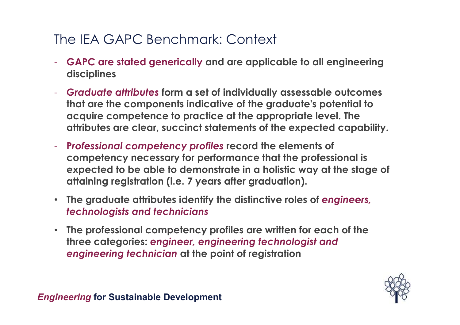## The IEA GAPC Benchmark: Context

- **GAPC are stated generically and are applicable to all engineering disciplines**
- *Graduate attributes* **form a set of individually assessable outcomes that are the components indicative of the graduate's potential to acquire competence to practice at the appropriate level. The attributes are clear, succinct statements of the expected capability.**
- **P***rofessional competency profiles* **record the elements of competency necessary for performance that the professional is expected to be able to demonstrate in a holistic way at the stage of attaining registration (i.e. 7 years after graduation).**
- **The graduate attributes identify the distinctive roles of** *engineers, technologists and technicians*
- **The professional competency profiles are written for each of the three categories:** *engineer, engineering technologist and engineering technician* **at the point of registration**

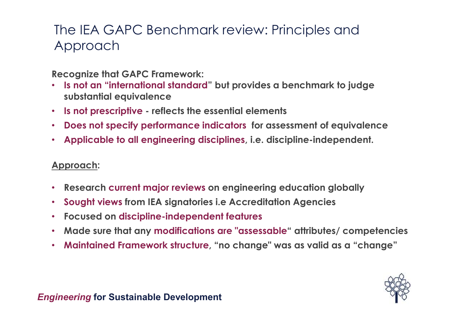## The IEA GAPC Benchmark review: Principles and Approach

**Recognize that GAPC Framework:**

- **Is not an "international standard" but provides a benchmark to judge substantial equivalence**
- **Is not prescriptive reflects the essential elements**
- **Does not specify performance indicators for assessment of equivalence**
- **Applicable to all engineering disciplines, i.e. discipline-independent.**

### **Approach:**

- **Research current major reviews on engineering education globally**
- **Sought views from IEA signatories i.e Accreditation Agencies**
- **Focused on discipline-independent features**
- **Made sure that any modifications are "assessable" attributes/ competencies**
- **Maintained Framework structure, "no change" was as valid as a "change"**

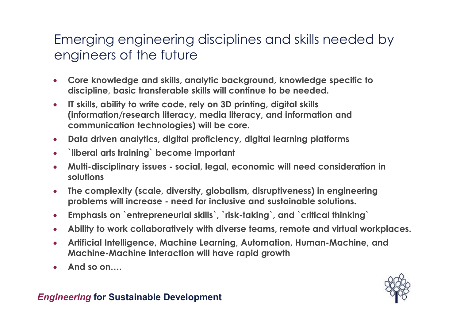## Emerging engineering disciplines and skills needed by engineers of the future

- **Core knowledge and skills, analytic background, knowledge specific to discipline, basic transferable skills will continue to be needed.**
- **IT skills, ability to write code, rely on 3D printing, digital skills (information/research literacy, media literacy, and information and communication technologies) will be core.**
- **Data driven analytics, digital proficiency, digital learning platforms**
- **`liberal arts training` become important**
- **Multi-disciplinary issues social, legal, economic will need consideration in solutions**
- **The complexity (scale, diversity, globalism, disruptiveness) in engineering problems will increase - need for inclusive and sustainable solutions.**
- **Emphasis on `entrepreneurial skills`, `risk-taking`, and `critical thinking`**
- **Ability to work collaboratively with diverse teams, remote and virtual workplaces.**
- **Artificial Intelligence, Machine Learning, Automation, Human-Machine, and Machine-Machine interaction will have rapid growth**
- **And so on….**

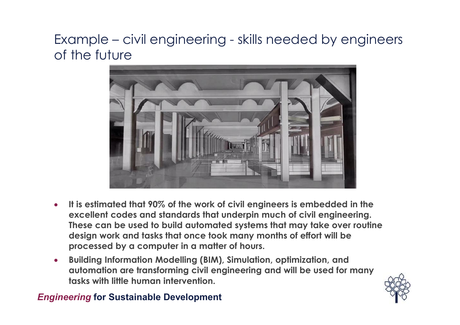## Example – civil engineering - skills needed by engineers of the future



- **It is estimated that 90% of the work of civil engineers is embedded in the excellent codes and standards that underpin much of civil engineering. These can be used to build automated systems that may take over routine design work and tasks that once took many months of effort will be processed by a computer in a matter of hours.**
- **Building Information Modelling (BIM), Simulation, optimization, and automation are transforming civil engineering and will be used for many tasks with little human intervention.**

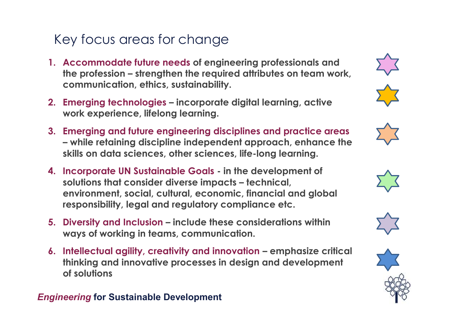## Key focus areas for change

- **1. Accommodate future needs of engineering professionals and the profession – strengthen the required attributes on team work, communication, ethics, sustainability.**
- **2. Emerging technologies incorporate digital learning, active work experience, lifelong learning.**
- **3. Emerging and future engineering disciplines and practice areas – while retaining discipline independent approach, enhance the skills on data sciences, other sciences, life-long learning.**
- **4. Incorporate UN Sustainable Goals in the development of solutions that consider diverse impacts – technical, environment, social, cultural, economic, financial and global responsibility, legal and regulatory compliance etc.**
- **5. Diversity and Inclusion include these considerations within ways of working in teams, communication.**
- **6. Intellectual agility, creativity and innovation emphasize critical thinking and innovative processes in design and development of solutions**









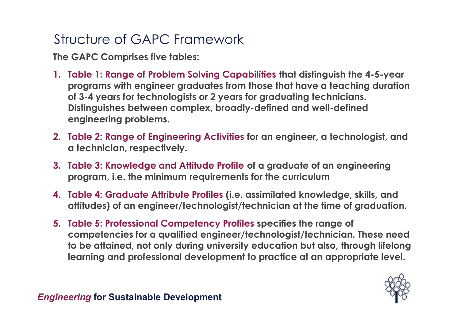## Structure of GAPC Framework

**The GAPC Comprises five tables:**

- **1. Table 1: Range of Problem Solving Capabilities that distinguish the 4-5-year programs with engineer graduates from those that have a teaching duration of 3-4 years for technologists or 2 years for graduating technicians. Distinguishes between complex, broadly-defined and well-defined engineering problems.**
- **2. Table 2: Range of Engineering Activities for an engineer, a technologist, and a technician, respectively.**
- **3. Table 3: Knowledge and Attitude Profile of a graduate of an engineering program, i.e. the minimum requirements for the curriculum**
- **4. Table 4: Graduate Attribute Profiles (i.e. assimilated knowledge, skills, and attitudes) of an engineer/technologist/technician at the time of graduation.**
- **5. Table 5: Professional Competency Profiles specifies the range of competencies for a qualified engineer/technologist/technician. These need to be attained, not only during university education but also, through lifelong learning and professional development to practice at an appropriate level.**

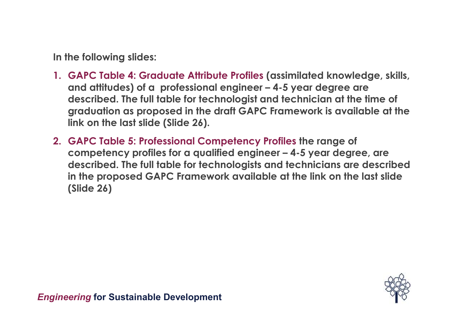**In the following slides:**

- **1. GAPC Table 4: Graduate Attribute Profiles (assimilated knowledge, skills, and attitudes) of a professional engineer – 4-5 year degree are described. The full table for technologist and technician at the time of graduation as proposed in the draft GAPC Framework is available at the link on the last slide (Slide 26).**
- **2. GAPC Table 5: Professional Competency Profiles the range of competency profiles for a qualified engineer – 4-5 year degree, are described. The full table for technologists and technicians are described in the proposed GAPC Framework available at the link on the last slide (Slide 26)**

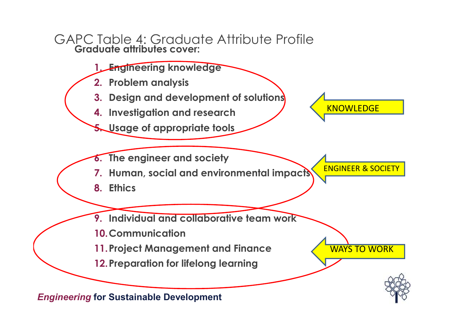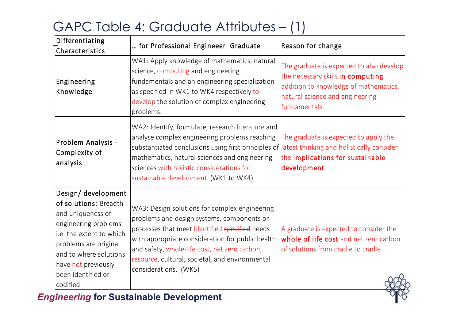#### **Characteristics** Differentiating  $\ldots$  for Professional Engineeer Graduate Reason for change Engineering Knowledge WA1: Apply knowledge of mathematics, natural science, computing and engineering fundamentals and an engineering specialization as specified in WK1 to WK4 respectively to develop the solution of complex engineering problems. The graduate is expected to also develop the necessary skills in computing addition to knowledge of mathematics, natural science and engineering fundamentals. Problem Analysis - Complexity of analysis WA2: Identify, formulate, research literature and analyse complex engineering problems reaching substantiated conclusions using first principles of latest thinking and holistically consider mathematics, natural sciences and engineering sciences with holistic considerations for sustainable development. (WK1 to WK4) The graduate is expected to apply the the implications for sustainable development Design/ development of solutions: Breadth and uniqueness of engineering problems i.e. the extent to which problems are original and to where solutions have not previously been identified or codified WA3: Design solutions for complex engineering problems and design systems, components or processes that meet identified specified needs with appropriate consideration for public health and safety, whole-life cost, net zero carbon, resource, cultural, societal, and environmental considerations. (WK5) A graduate is expected to consider the whole of life cost and net zero carbon of solutions from cradle to cradle.

## GAPC Table 4: Graduate Attributes – (1)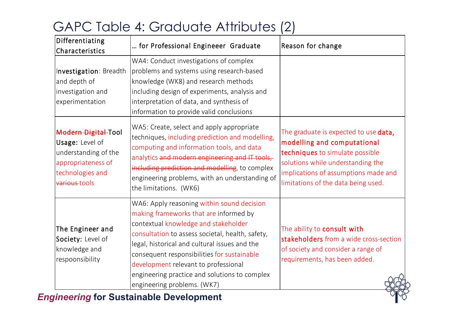| Differentiating<br>Characteristics                                                                                               | for Professional Engineeer Graduate                                                                                                                                                                                                                                                                                                                                                                      | Reason for change                                                                                                                                                                                                           |
|----------------------------------------------------------------------------------------------------------------------------------|----------------------------------------------------------------------------------------------------------------------------------------------------------------------------------------------------------------------------------------------------------------------------------------------------------------------------------------------------------------------------------------------------------|-----------------------------------------------------------------------------------------------------------------------------------------------------------------------------------------------------------------------------|
| Investigation: Breadth<br>and depth of<br>investigation and<br>experimentation                                                   | WA4: Conduct investigations of complex<br>problems and systems using research-based<br>knowledge (WK8) and research methods<br>including design of experiments, analysis and<br>interpretation of data, and synthesis of<br>information to provide valid conclusions                                                                                                                                     |                                                                                                                                                                                                                             |
| <b>Modern Digital Tool</b><br>Usage: Level of<br>understanding of the<br>appropriateness of<br>technologies and<br>various-tools | WA5: Create, select and apply appropriate<br>techniques, including prediction and modelling,<br>computing and information tools, and data<br>analytics and modern engineering and IT tools,<br>including prediction and modelling, to complex<br>engineering problems, with an understanding of<br>the limitations. (WK6)                                                                                | The graduate is expected to use data,<br>modelling and computational<br>techniques to simulate possible<br>solutions while understanding the<br>implications of assumptions made and<br>limitations of the data being used. |
| The Engineer and<br>Society: Level of<br>knowledge and<br>respoonsibility                                                        | WA6: Apply reasoning within sound decision<br>making frameworks that are informed by<br>contextual knowledge and stakeholder<br>consultation to assess societal, health, safety,<br>legal, historical and cultural issues and the<br>consequent responsibilities for sustainable<br>development relevant to professional<br>engineering practice and solutions to complex<br>engineering problems. (WK7) | The ability to consult with<br>stakeholders from a wide cross-section<br>of society and consider a range of<br>requirements, has been added.                                                                                |

## GAPC Table 4: Graduate Attributes (2)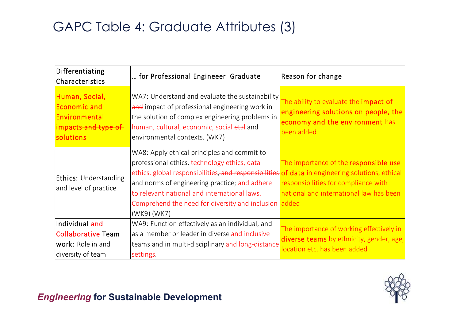## GAPC Table 4: Graduate Attributes (3)

| Differentiating<br>Characteristics                                                                     | for Professional Engineeer Graduate                                                                                                                                                                                                                                                                                           | Reason for change                                                                                                                                                     |
|--------------------------------------------------------------------------------------------------------|-------------------------------------------------------------------------------------------------------------------------------------------------------------------------------------------------------------------------------------------------------------------------------------------------------------------------------|-----------------------------------------------------------------------------------------------------------------------------------------------------------------------|
| Human, Social,<br><b>Economic and</b><br>Environmental<br>impacts <del> and type of</del><br>solutions | WA7: Understand and evaluate the sustainability<br>and impact of professional engineering work in<br>the solution of complex engineering problems in<br>human, cultural, economic, social etal and<br>environmental contexts. (WK7)                                                                                           | The ability to evaluate the impact of<br>engineering solutions on people, the<br>economy and the environment has<br>been added                                        |
| <b>Ethics: Understanding</b><br>and level of practice                                                  | WA8: Apply ethical principles and commit to<br>professional ethics, technology ethics, data<br>ethics, global responsibilities, and responsibilities<br>and norms of engineering practice; and adhere<br>to relevant national and international laws.<br>Comprehend the need for diversity and inclusion added<br>(WK9) (WK7) | The importance of the responsible use<br>of data in engineering solutions, ethical<br>responsibilities for compliance with<br>national and international law has been |
| Individual and                                                                                         | WA9: Function effectively as an individual, and                                                                                                                                                                                                                                                                               | The importance of working effectively in                                                                                                                              |
| <b>Collaborative Team</b><br>work: Role in and<br>diversity of team                                    | as a member or leader in diverse and inclusive<br>teams and in multi-disciplinary and long-distance<br>settings.                                                                                                                                                                                                              | diverse teams by ethnicity, gender, age,<br>location etc. has been added                                                                                              |

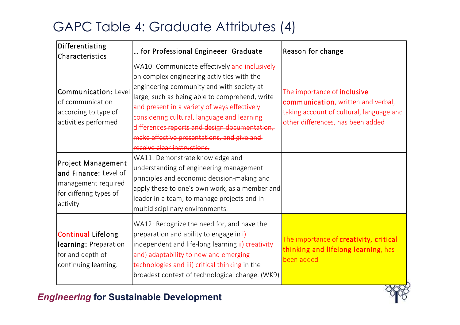## GAPC Table 4: Graduate Attributes (4)

| Differentiating                                                                                                 | for Professional Engineeer Graduate                                                                                                                                                                                                                                                                                                                                                                                     | Reason for change                                                                                                                                  |  |
|-----------------------------------------------------------------------------------------------------------------|-------------------------------------------------------------------------------------------------------------------------------------------------------------------------------------------------------------------------------------------------------------------------------------------------------------------------------------------------------------------------------------------------------------------------|----------------------------------------------------------------------------------------------------------------------------------------------------|--|
| Characteristics                                                                                                 |                                                                                                                                                                                                                                                                                                                                                                                                                         |                                                                                                                                                    |  |
| Communication: Level<br>of communication<br>according to type of<br>activities performed                        | WA10: Communicate effectively and inclusively<br>on complex engineering activities with the<br>engineering community and with society at<br>large, such as being able to comprehend, write<br>and present in a variety of ways effectively<br>considering cultural, language and learning<br>differences-reports and design documentation,<br>make effective presentations, and give and<br>receive clear instructions. | The importance of inclusive<br>communication, written and verbal,<br>taking account of cultural, language and<br>other differences, has been added |  |
| <b>Project Management</b><br>and Finance: Level of<br>management required<br>for differing types of<br>activity | WA11: Demonstrate knowledge and<br>understanding of engineering management<br>principles and economic decision-making and<br>apply these to one's own work, as a member and<br>leader in a team, to manage projects and in<br>multidisciplinary environments.                                                                                                                                                           |                                                                                                                                                    |  |
| <b>Continual Lifelong</b><br>learning: Preparation<br>for and depth of<br>continuing learning.                  | WA12: Recognize the need for, and have the<br>preparation and ability to engage in i)<br>independent and life-long learning ii) creativity<br>and) adaptability to new and emerging<br>technologies and iii) critical thinking in the<br>broadest context of technological change. (WK9)                                                                                                                                | The importance of creativity, critical<br>thinking and lifelong learning, has<br>been added                                                        |  |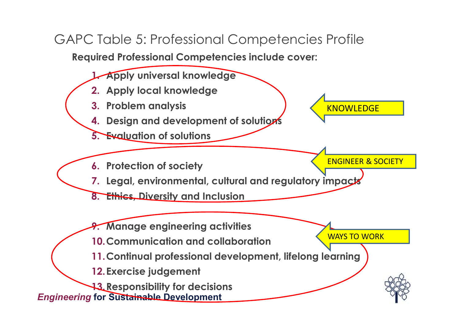## GAPC Table 5: Professional Competencies Profile

**Required Professional Competencies include cover:**

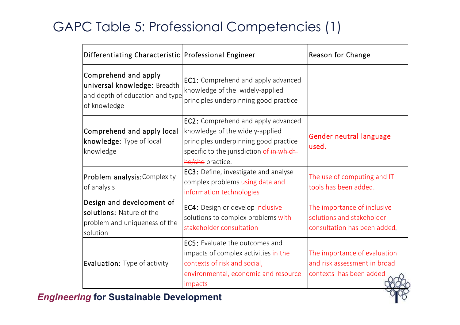## GAPC Table 5: Professional Competencies (1)

| Differentiating Characteristic   Professional Engineer                                                  |                                                                                                                                                                                       | Reason for Change                                                                        |
|---------------------------------------------------------------------------------------------------------|---------------------------------------------------------------------------------------------------------------------------------------------------------------------------------------|------------------------------------------------------------------------------------------|
| Comprehend and apply<br>universal knowledge: Breadth<br>and depth of education and type<br>of knowledge | EC1: Comprehend and apply advanced<br>knowledge of the widely-applied<br>principles underpinning good practice                                                                        |                                                                                          |
| Comprehend and apply local<br>knowledge:-Type of local<br>knowledge                                     | <b>EC2:</b> Comprehend and apply advanced<br>knowledge of the widely-applied<br>principles underpinning good practice<br>specific to the jurisdiction of in which<br>he/she practice. | Gender neutral language<br>used.                                                         |
| Problem analysis: Complexity<br>of analysis                                                             | EC3: Define, investigate and analyse<br>complex problems using data and<br>information technologies                                                                                   | The use of computing and IT<br>tools has been added.                                     |
| Design and development of<br>solutions: Nature of the<br>problem and uniqueness of the<br>solution      | EC4: Design or develop inclusive<br>solutions to complex problems with<br>stakeholder consultation                                                                                    | The importance of inclusive<br>solutions and stakeholder<br>consultation has been added. |
| Evaluation: Type of activity                                                                            | <b>EC5:</b> Evaluate the outcomes and<br>impacts of complex activities in the<br>contexts of risk and social,<br>environmental, economic and resource<br>impacts                      | The importance of evaluation<br>and risk assessment in broad<br>contexts has been added  |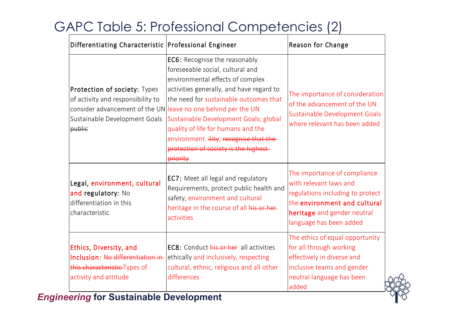## GAPC Table 5: Professional Competencies (2)

| Differentiating Characteristic   Professional Engineer                                                                                                                        |                                                                                                                                                                                                                                                                                                                                                                                        | Reason for Change                                                                                                                                                                    |
|-------------------------------------------------------------------------------------------------------------------------------------------------------------------------------|----------------------------------------------------------------------------------------------------------------------------------------------------------------------------------------------------------------------------------------------------------------------------------------------------------------------------------------------------------------------------------------|--------------------------------------------------------------------------------------------------------------------------------------------------------------------------------------|
| Protection of society: Types<br>of activity and responsibility to<br>consider advancement of the UN leave no one behind per the UN<br>Sustainable Development Goals<br>public | <b>EC6:</b> Recognise the reasonably<br>foreseeable social, cultural and<br>environmental effects of complex<br>activities generally, and have regard to<br>the need for sustainable outcomes that<br>Sustainable Development Goals; global<br>quality of life for humans and the<br>environment. Hity; recognise that the<br>protection of society is the highest-<br><b>priority</b> | The importance of consideration<br>of the advancement of the UN<br>Sustainable Development Goals<br>where relevant has been added                                                    |
| Legal, environment, cultural<br>and regulatory: No<br>differentiation in this<br>characteristic                                                                               | EC7: Meet all legal and regulatory<br>Requirements, protect public health and<br>safety, environment and cultural<br>heritage in the course of all his or her-<br>activities                                                                                                                                                                                                           | The importance of compliance<br>with relevant laws and<br>regulations including to protect<br>the environment and cultural<br>heritage and gender neutral<br>language has been added |
| Ethics, Diversity, and<br>Inclusion: No differentiation in<br>this characteristic Types of<br>activity and attitude                                                           | <b>EC8:</b> Conduct his or her all activities<br>ethically and inclusively, respecting<br>cultural, ethnic, religious and all other<br>differences                                                                                                                                                                                                                                     | The ethics of equal opportunity<br>for all through working<br>effectively in diverse and<br>inclusive teams and gender<br>neutral language has been<br>added                         |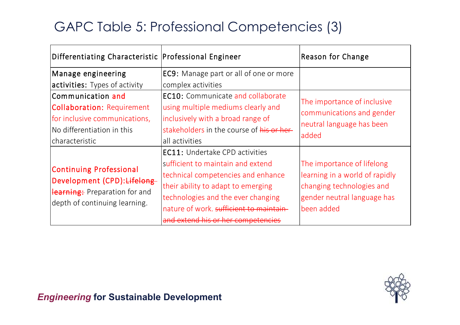## GAPC Table 5: Professional Competencies (3)

| Differentiating Characteristic   Professional Engineer                                                                                  |                                                                                                                                                                                                                                                                                        | <b>Reason for Change</b>                                                                                                               |
|-----------------------------------------------------------------------------------------------------------------------------------------|----------------------------------------------------------------------------------------------------------------------------------------------------------------------------------------------------------------------------------------------------------------------------------------|----------------------------------------------------------------------------------------------------------------------------------------|
| Manage engineering<br>activities: Types of activity                                                                                     | <b>EC9:</b> Manage part or all of one or more<br>complex activities                                                                                                                                                                                                                    |                                                                                                                                        |
| Communication and<br><b>Collaboration: Requirement</b><br>for inclusive communications,<br>No differentiation in this<br>characteristic | <b>EC10:</b> Communicate and collaborate<br>using multiple mediums clearly and<br>inclusively with a broad range of<br>stakeholders in the course of his or her-<br>all activities                                                                                                     | The importance of inclusive<br>communications and gender<br>neutral language has been<br>added                                         |
| <b>Continuing Professional</b><br>Development (CPD): Lifelong<br>learning: Preparation for and<br>depth of continuing learning.         | <b>EC11: Undertake CPD activities</b><br>sufficient to maintain and extend<br>technical competencies and enhance<br>their ability to adapt to emerging<br>technologies and the ever changing<br>nature of work. sufficient to maintain-<br><del>and extend his or her competenci</del> | The importance of lifelong<br>learning in a world of rapidly<br>changing technologies and<br>gender neutral language has<br>been added |

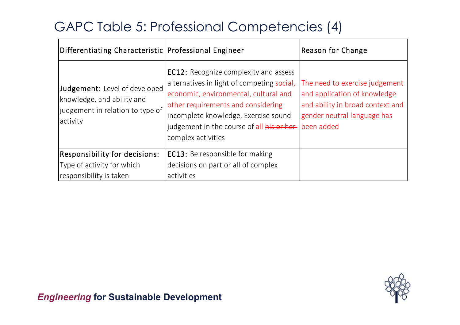## GAPC Table 5: Professional Competencies (4)

| Differentiating Characteristic Professional Engineer                                                        |                                                                                                                                                                                                                                                                                      | Reason for Change                                                                                                                               |
|-------------------------------------------------------------------------------------------------------------|--------------------------------------------------------------------------------------------------------------------------------------------------------------------------------------------------------------------------------------------------------------------------------------|-------------------------------------------------------------------------------------------------------------------------------------------------|
| Judgement: Level of developed<br>knowledge, and ability and<br>judgement in relation to type of<br>activity | <b>EC12:</b> Recognize complexity and assess<br>alternatives in light of competing social,<br>economic, environmental, cultural and<br>other requirements and considering<br>incomplete knowledge. Exercise sound<br>judgement in the course of all his or her<br>complex activities | The need to exercise judgement<br>and application of knowledge<br>and ability in broad context and<br>gender neutral language has<br>been added |
| <b>Responsibility for decisions:</b>                                                                        | <b>EC13:</b> Be responsible for making                                                                                                                                                                                                                                               |                                                                                                                                                 |
| Type of activity for which                                                                                  | decisions on part or all of complex                                                                                                                                                                                                                                                  |                                                                                                                                                 |
| responsibility is taken                                                                                     | activities                                                                                                                                                                                                                                                                           |                                                                                                                                                 |

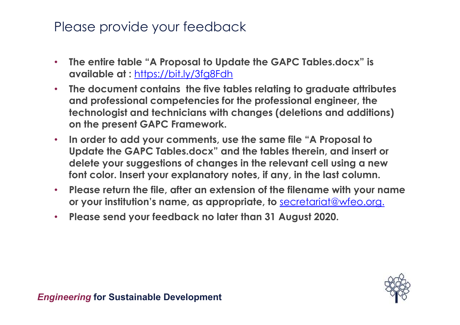## Please provide your feedback

- **The entire table "A Proposal to Update the GAPC Tables.docx" is available at :** <https://bit.ly/3fg8Fdh>
- **The document contains the five tables relating to graduate attributes and professional competencies for the professional engineer, the technologist and technicians with changes (deletions and additions) on the present GAPC Framework.**
- **In order to add your comments, use the same file "A Proposal to Update the GAPC Tables.docx" and the tables therein, and insert or delete your suggestions of changes in the relevant cell using a new font color. Insert your explanatory notes, if any, in the last column.**
- **Please return the file, after an extension of the filename with your name or your institution's name, as appropriate, to** [secretariat@wfeo.org](mailto:secretariat@wfeo.org).
- **Please send your feedback no later than 31 August 2020.**

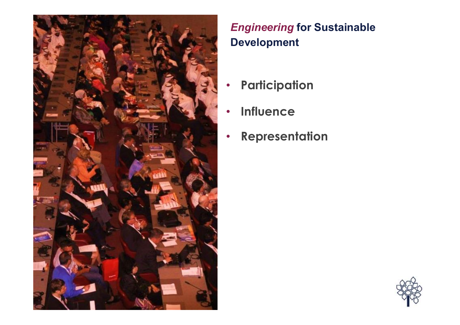

- **Participation**
- **Influence**
- **Representation**

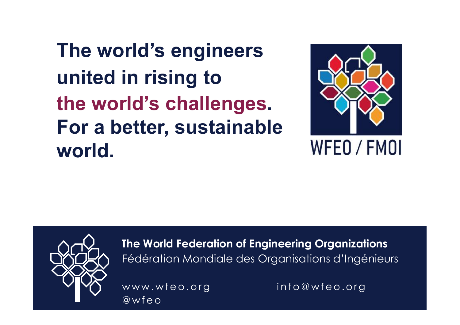**The world's engineers united in rising to the world's challenges. For a better, sustainable world.**





**The World Federation of Engineering Organizations** Fédération Mondiale des Organisations d'Ingénieurs

 $@$  w f  $e$  o

www.wfeo.org info@wfeo.org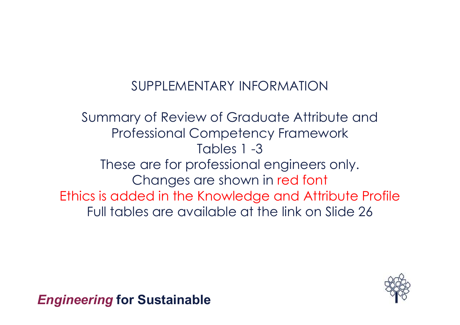## SUPPLEMENTARY INFORMATION

Summary of Review of Graduate Attribute and Professional Competency Framework Tables 1 -3 These are for professional engineers only. Changes are shown in red font Ethics is added in the Knowledge and Attribute Profile Full tables are available at the link on Slide 26

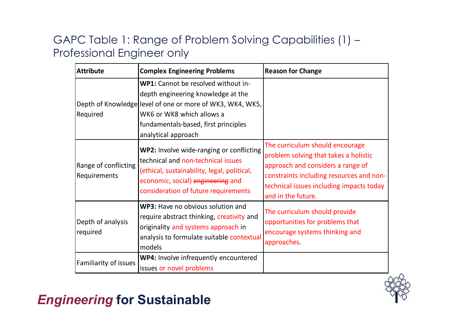### GAPC Table 1: Range of Problem Solving Capabilities (1) – Professional Engineer only

| <b>Attribute</b>                     | <b>Complex Engineering Problems</b>                                                                                                                                                                                                | <b>Reason for Change</b>                                                                                                                                                                                                    |
|--------------------------------------|------------------------------------------------------------------------------------------------------------------------------------------------------------------------------------------------------------------------------------|-----------------------------------------------------------------------------------------------------------------------------------------------------------------------------------------------------------------------------|
| Required                             | WP1: Cannot be resolved without in-<br>depth engineering knowledge at the<br>Depth of Knowledge level of one or more of WK3, WK4, WK5,<br>WK6 or WK8 which allows a<br>fundamentals-based, first principles<br>analytical approach |                                                                                                                                                                                                                             |
| Range of conflicting<br>Requirements | WP2: Involve wide-ranging or conflicting<br>technical and non-technical issues<br>(ethical, sustainability, legal, political,<br>economic, social) engineering and<br>consideration of future requirements                         | The curriculum should encourage<br>problem solving that takes a holistic<br>approach and considers a range of<br>constraints including resources and non-<br>technical issues including impacts today<br>and in the future. |
| Depth of analysis<br>required        | WP3: Have no obvious solution and<br>require abstract thinking, creativity and<br>originality and systems approach in<br>analysis to formulate suitable contextual<br>models                                                       | The curriculum should provide<br>opportunities for problems that<br>encourage systems thinking and<br>approaches.                                                                                                           |
| Familiarity of issues                | WP4: Involve infrequently encountered<br>issues or novel problems                                                                                                                                                                  |                                                                                                                                                                                                                             |

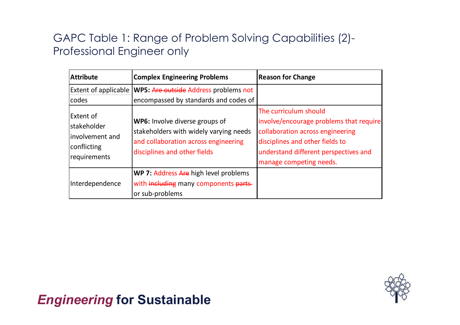### GAPC Table 1: Range of Problem Solving Capabilities (2)- Professional Engineer only

| <b>Attribute</b>                                                             | <b>Complex Engineering Problems</b>                                                                                                              | <b>Reason for Change</b>                                                                                                                                                                                    |
|------------------------------------------------------------------------------|--------------------------------------------------------------------------------------------------------------------------------------------------|-------------------------------------------------------------------------------------------------------------------------------------------------------------------------------------------------------------|
| codes                                                                        | Extent of applicable   WP5: Are outside Address problems not<br>encompassed by standards and codes of                                            |                                                                                                                                                                                                             |
| Extent of<br>stakeholder<br>linvolvement and<br> conflicting<br>requirements | WP6: Involve diverse groups of<br>stakeholders with widely varying needs<br>and collaboration across engineering<br>disciplines and other fields | The curriculum should<br>involve/encourage problems that require<br>collaboration across engineering<br>disciplines and other fields to<br>understand different perspectives and<br>manage competing needs. |
| Interdependence                                                              | WP 7: Address Are high level problems<br>with including many components parts-<br>or sub-problems                                                |                                                                                                                                                                                                             |

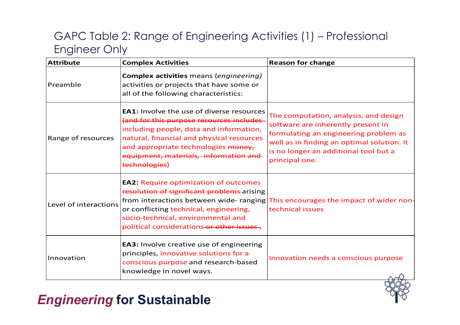## GAPC Table 2: Range of Engineering Activities (1) – Professional Engineer Only

| <b>Attribute</b>      | <b>Complex Activities</b>                                                                                                                                                                                                                                                             | <b>Reason for change</b>                                                                                                                                                                                                      |
|-----------------------|---------------------------------------------------------------------------------------------------------------------------------------------------------------------------------------------------------------------------------------------------------------------------------------|-------------------------------------------------------------------------------------------------------------------------------------------------------------------------------------------------------------------------------|
| Preamble              | <b>Complex activities</b> means (engineering)<br>activities or projects that have some or<br>all of the following characteristics:                                                                                                                                                    |                                                                                                                                                                                                                               |
| Range of resources    | <b>EA1:</b> Involve the use of diverse resources<br>(and for this purpose resources includes<br>including people, data and information,<br>natural, financial and physical resources<br>and appropriate technologies money,<br>equipment, materials, information and<br>technologies) | The computation, analysis, and design<br>software are inherently present in<br>formulating an engineering problem as<br>well as in finding an optimal solution. It<br>is no longer an additional tool but a<br>principal one. |
| Level of interactions | <b>EA2: Require optimization of outcomes</b><br>resolution of significant problems arising<br>from interactions between wide- ranging<br>or conflicting technical, engineering,<br>socio-technical, environmental and<br>political considerations-or other issues,                    | This encourages the impact of wider non-<br>technical issues                                                                                                                                                                  |
| Innovation            | <b>EA3:</b> Involve creative use of engineering<br>principles, innovative solutions for a<br>conscious purpose and research-based<br>knowledge in novel ways.                                                                                                                         | Innovation needs a conscious purpose                                                                                                                                                                                          |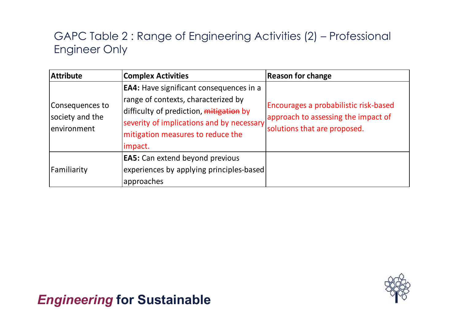## GAPC Table 2 : Range of Engineering Activities (2) – Professional Engineer Only

| <b>Attribute</b>                                  | <b>Complex Activities</b>                                                                                                                                                                                                     | <b>Reason for change</b>                                                                                     |
|---------------------------------------------------|-------------------------------------------------------------------------------------------------------------------------------------------------------------------------------------------------------------------------------|--------------------------------------------------------------------------------------------------------------|
| Consequences to<br>society and the<br>environment | <b>EA4:</b> Have significant consequences in a<br>range of contexts, characterized by<br>difficulty of prediction, mitigation by<br>severity of implications and by necessary<br>mitigation measures to reduce the<br>impact. | Encourages a probabilistic risk-based<br>approach to assessing the impact of<br>solutions that are proposed. |
| Familiarity                                       | <b>EA5:</b> Can extend beyond previous<br>experiences by applying principles-based<br>approaches                                                                                                                              |                                                                                                              |

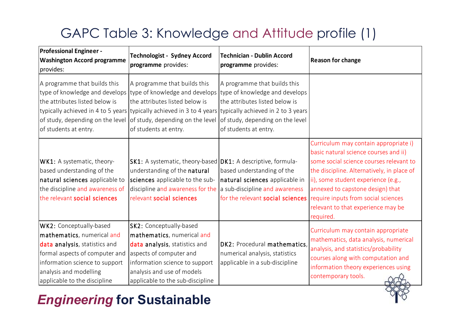## GAPC Table 3: Knowledge and Attitude profile (1)

| <b>Professional Engineer -</b><br><b>Washington Accord programme</b><br>provides:                                                                                                                                    | <b>Technologist - Sydney Accord</b><br>programme provides:                                                                                                                                                                                                                                                                              | <b>Technician - Dublin Accord</b><br>programme provides:                                                                    | <b>Reason for change</b>                                                                                                                                                                                                                                                                                                                     |
|----------------------------------------------------------------------------------------------------------------------------------------------------------------------------------------------------------------------|-----------------------------------------------------------------------------------------------------------------------------------------------------------------------------------------------------------------------------------------------------------------------------------------------------------------------------------------|-----------------------------------------------------------------------------------------------------------------------------|----------------------------------------------------------------------------------------------------------------------------------------------------------------------------------------------------------------------------------------------------------------------------------------------------------------------------------------------|
| A programme that builds this<br>the attributes listed below is<br>of study, depending on the level<br>of students at entry.                                                                                          | A programme that builds this<br>type of knowledge and develops type of knowledge and develops type of knowledge and develops<br>the attributes listed below is<br>typically achieved in 4 to 5 years typically achieved in 3 to 4 years typically achieved in 2 to 3 years<br>of study, depending on the level<br>of students at entry. | A programme that builds this<br>the attributes listed below is<br>of study, depending on the level<br>of students at entry. |                                                                                                                                                                                                                                                                                                                                              |
| WK1: A systematic, theory-<br>based understanding of the<br>natural sciences applicable to<br>the discipline and awareness of<br>the relevant social sciences                                                        | SK1: A systematic, theory-based DK1: A descriptive, formula-<br>understanding of the natural<br>sciences applicable to the sub-<br>discipline and awareness for the a sub-discipline and awareness<br>relevant social sciences                                                                                                          | based understanding of the<br>natural sciences applicable in<br>for the relevant social sciences                            | Curriculum may contain appropriate i)<br>basic natural science courses and ii)<br>some social science courses relevant to<br>the discipline. Alternatively, in place of<br>ii), some student experience (e.g.,<br>annexed to capstone design) that<br>require inputs from social sciences<br>relevant to that experience may be<br>required. |
| WK2: Conceptually-based<br>mathematics, numerical and<br>data analysis, statistics and<br>formal aspects of computer and<br>information science to support<br>analysis and modelling<br>applicable to the discipline | SK2: Conceptually-based<br>mathematics, numerical and<br>data analysis, statistics and<br>aspects of computer and<br>information science to support<br>analysis and use of models<br>applicable to the sub-discipline                                                                                                                   | DK2: Procedural mathematics,<br>numerical analysis, statistics<br>applicable in a sub-discipline                            | Curriculum may contain appropriate<br>mathematics, data analysis, numerical<br>analysis, and statistics/probability<br>courses along with computation and<br>information theory experiences using<br>contemporary tools.                                                                                                                     |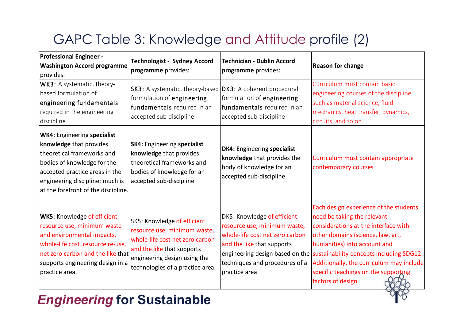## GAPC Table 3: Knowledge and Attitude profile (2)

| <b>Professional Engineer -</b><br><b>Washington Accord programme</b><br>provides:                                                                                                                                                      | <b>Technologist - Sydney Accord</b><br>programme provides:                                                                                                                                       | <b>Technician - Dublin Accord</b><br>programme provides:                                                                                                                        | <b>Reason for change</b>                                                                                                                                                                                                                                                                                                                                                |
|----------------------------------------------------------------------------------------------------------------------------------------------------------------------------------------------------------------------------------------|--------------------------------------------------------------------------------------------------------------------------------------------------------------------------------------------------|---------------------------------------------------------------------------------------------------------------------------------------------------------------------------------|-------------------------------------------------------------------------------------------------------------------------------------------------------------------------------------------------------------------------------------------------------------------------------------------------------------------------------------------------------------------------|
| WK3: A systematic, theory-<br>based formulation of<br>engineering fundamentals<br>required in the engineering<br>discipline                                                                                                            | SK3: A systematic, theory-based DK3: A coherent procedural<br>formulation of engineering<br>fundamentals required in an<br>accepted sub-discipline                                               | formulation of engineering<br>fundamentals required in an<br>accepted sub-discipline                                                                                            | Curriculum must contain basic<br>engineering courses of the discipline,<br>such as material science, fluid<br>mechanics, heat transfer, dynamics,<br>circuits, and so on                                                                                                                                                                                                |
| <b>WK4: Engineering specialist</b><br>knowledge that provides<br>theoretical frameworks and<br>bodies of knowledge for the<br>accepted practice areas in the<br>engineering discipline; much is<br>at the forefront of the discipline. | <b>SK4: Engineering specialist</b><br>knowledge that provides<br>theoretical frameworks and<br>bodies of knowledge for an<br>accepted sub-discipline                                             | <b>DK4: Engineering specialist</b><br>knowledge that provides the<br>body of knowledge for an<br>accepted sub-discipline                                                        | Curriculum must contain appropriate<br>contemporary courses                                                                                                                                                                                                                                                                                                             |
| <b>WK5: Knowledge of efficient</b><br>resource use, minimum waste<br>and environmental impacts,<br>whole-life cost , resource re-use,<br>net zero carbon and the like that<br>supports engineering design in a<br>practice area.       | SK5: Knowledge of efficient<br>resource use, minimum waste,<br>whole-life cost net zero carbon<br>and the like that supports<br>engineering design using the<br>technologies of a practice area. | DK5: Knowledge of efficient<br>resource use, minimum waste,<br>whole-life cost net zero carbon<br>and the like that supports<br>techniques and procedures of a<br>practice area | Each design experience of the students<br>need be taking the relevant<br>considerations at the interface with<br>other domains (science, law, art,<br>humanities) into account and<br>engineering design based on the sustainability concepts including SDG12.<br>Additionally, the curriculum may include<br>specific teachings on the supporting<br>factors of design |

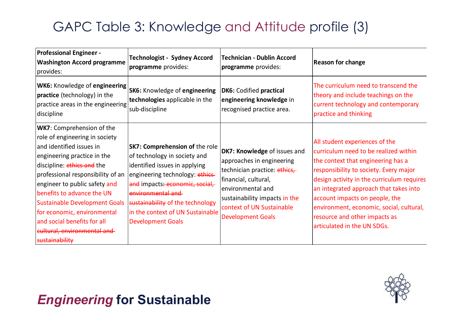## GAPC Table 3: Knowledge and Attitude profile (3)

| <b>Professional Engineer -</b><br><b>Washington Accord programme</b><br>provides:                                                                                                                                                                                                                                                                                                                                                  | <b>Technologist - Sydney Accord</b><br>programme provides:                                                                                                                                                                                                                                           | <b>Technician - Dublin Accord</b><br>programme provides:                                                                                                                                                                         | <b>Reason for change</b>                                                                                                                                                                                                                                                                                                                                                                      |
|------------------------------------------------------------------------------------------------------------------------------------------------------------------------------------------------------------------------------------------------------------------------------------------------------------------------------------------------------------------------------------------------------------------------------------|------------------------------------------------------------------------------------------------------------------------------------------------------------------------------------------------------------------------------------------------------------------------------------------------------|----------------------------------------------------------------------------------------------------------------------------------------------------------------------------------------------------------------------------------|-----------------------------------------------------------------------------------------------------------------------------------------------------------------------------------------------------------------------------------------------------------------------------------------------------------------------------------------------------------------------------------------------|
| <b>WK6: Knowledge of engineering</b><br>practice (technology) in the<br>practice areas in the engineering<br>discipline                                                                                                                                                                                                                                                                                                            | <b>SK6: Knowledge of engineering</b><br>technologies applicable in the<br>sub-discipline                                                                                                                                                                                                             | <b>DK6: Codified practical</b><br>engineering knowledge in<br>recognised practice area.                                                                                                                                          | The curriculum need to transcend the<br>theory and include teachings on the<br>current technology and contemporary<br>practice and thinking                                                                                                                                                                                                                                                   |
| <b>WK7: Comprehension of the</b><br>role of engineering in society<br>and identified issues in<br>engineering practice in the<br>discipline: ethics and the<br>professional responsibility of an<br>engineer to public safety and<br>benefits to advance the UN<br><b>Sustainable Development Goals</b><br>for economic, environmental<br>and social benefits for all<br><del>cultural, environmental and-</del><br>sustainability | <b>SK7: Comprehension of the role</b><br>of technology in society and<br>identified issues in applying<br>engineering technology: ethics-<br>and impacts: economic, social,<br>environmental and<br>sustainability of the technology<br>in the context of UN Sustainable<br><b>Development Goals</b> | DK7: Knowledge of issues and<br>approaches in engineering<br>technician practice: ethics,<br>financial, cultural,<br>environmental and<br>sustainability impacts in the<br>context of UN Sustainable<br><b>Development Goals</b> | All student experiences of the<br>curriculum need to be realized within<br>the context that engineering has a<br>responsibility to society. Every major<br>design activity in the curriculum requires<br>an integrated approach that takes into<br>account impacts on people, the<br>environment, economic, social, cultural,<br>resource and other impacts as<br>articulated in the UN SDGs. |